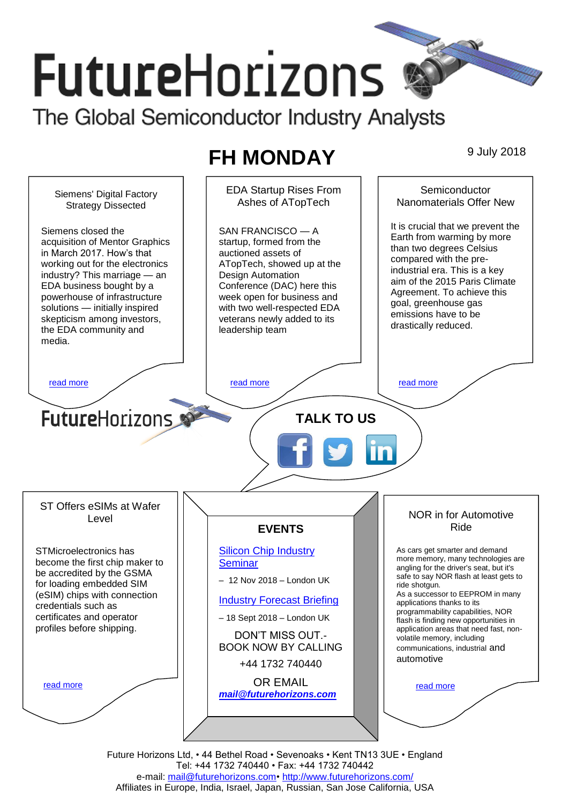# **FutureHorizons** The Global Semiconductor Industry Analysts

# **FH MONDAY** 9 July 2018

EDA Startup Rises From **Semiconductor** Siemens' Digital Factory Ashes of ATopTech Nanomaterials Offer New Strategy Dissected It is crucial that we prevent the Siemens closed the SAN FRANCISCO — A Earth from warming by more acquisition of Mentor Graphics startup, formed from the than two degrees Celsius in March 2017. How's that auctioned assets of compared with the preworking out for the electronics ATopTech, showed up at the industrial era. This is a key industry? This marriage — an Design Automation aim of the 2015 Paris Climate EDA business bought by a Conference (DAC) here this Agreement. To achieve this powerhouse of infrastructure week open for business and goal, greenhouse gas with two well-respected EDA solutions — initially inspired emissions have to be skepticism among investors, veterans newly added to its drastically reduced. the EDA community and leadership team media. [read more](#page-1-1) that the second contract the second contract of the read more that the read more that the read more **Future**Horizons **TALK TO US** ST Offers eSIMs at Wafer NOR in for Automotive Level Ride **EVENTS** [Silicon Chip Industry](http://www.futurehorizons.com/page/12/silicon-chip-training)  As cars get smarter and demand STMicroelectronics has more memory, many technologies are become the first chip maker to **[Seminar](http://www.futurehorizons.com/page/12/silicon-chip-training)** angling for the driver's seat, but it's be accredited by the GSMA safe to say NOR flash at least gets to – 12 Nov 2018 – London UK for loading embedded SIM ride shotgun. As a successor to EEPROM in many (eSIM) chips with connection [Industry Forecast Briefing](http://www.futurehorizons.com/page/13/Semiconductor-Market-Forecast-Seminar) applications thanks to its credentials such as programmability capabilities, NOR certificates and operator – 18 Sept 2018 – London UK flash is finding new opportunities in profiles before shipping.application areas that need fast, non-DON'T MISS OUT. volatile memory, including BOOK NOW BY CALLING communications, industrial and automotive +44 1732 740440 OR EMAIL [read more](#page-1-3) [read more](#page-1-4) *[mail@futurehorizons.com](mailto:mail@futurehorizons.com)*

> Future Horizons Ltd, • 44 Bethel Road • Sevenoaks • Kent TN13 3UE • England Tel: +44 1732 740440 • Fax: +44 1732 740442 e-mail: [mail@futurehorizons.com•](../FH%20Monday%20-%202017/mail@futurehorizons.com)<http://www.futurehorizons.com/> Affiliates in Europe, India, Israel, Japan, Russian, San Jose California, USA